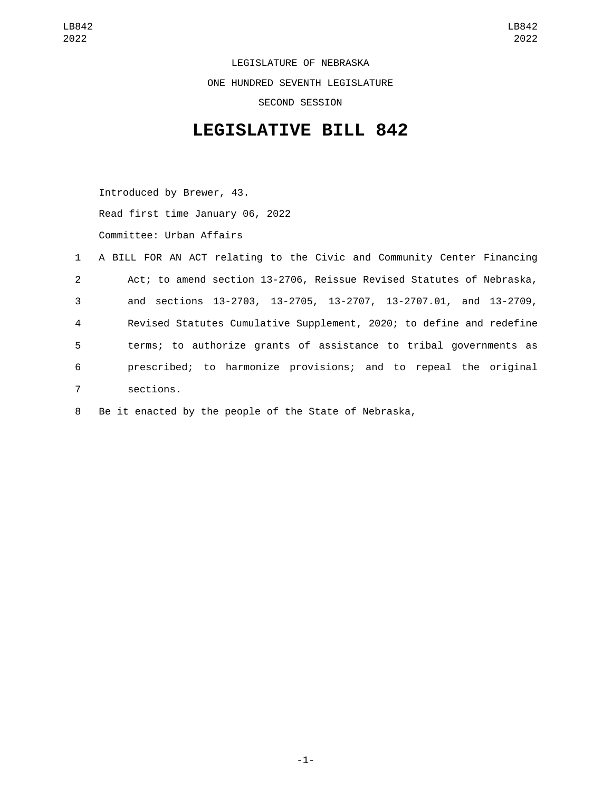LEGISLATURE OF NEBRASKA ONE HUNDRED SEVENTH LEGISLATURE SECOND SESSION

## **LEGISLATIVE BILL 842**

Introduced by Brewer, 43. Read first time January 06, 2022 Committee: Urban Affairs

|                | 1 A BILL FOR AN ACT relating to the Civic and Community Center Financing |
|----------------|--------------------------------------------------------------------------|
| $2^{\circ}$    | Act; to amend section 13-2706, Reissue Revised Statutes of Nebraska,     |
| 3              | and sections 13-2703, 13-2705, 13-2707, 13-2707.01, and 13-2709,         |
| $\overline{4}$ | Revised Statutes Cumulative Supplement, 2020; to define and redefine     |
| 5              | terms; to authorize grants of assistance to tribal governments as        |
| 6              | prescribed; to harmonize provisions; and to repeal the original          |
| $\overline{7}$ | sections.                                                                |

8 Be it enacted by the people of the State of Nebraska,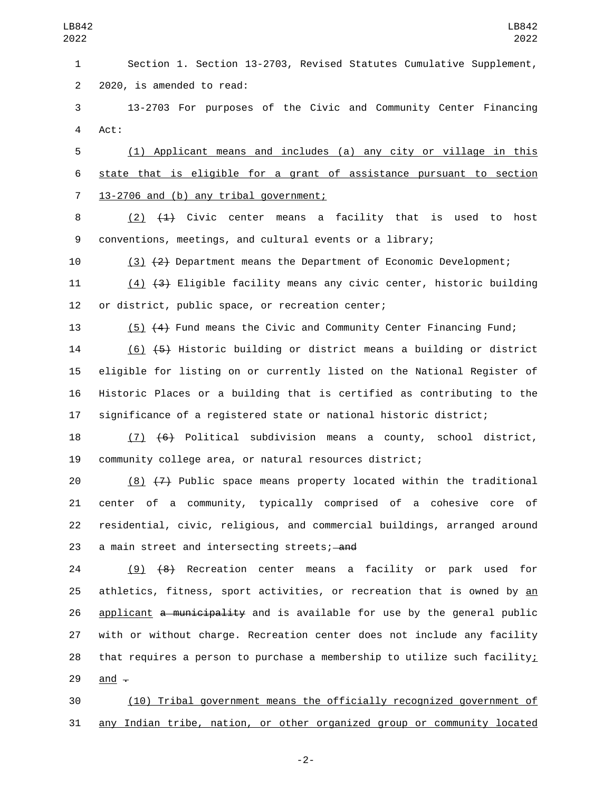Section 1. Section 13-2703, Revised Statutes Cumulative Supplement, 2 2020, is amended to read:

 13-2703 For purposes of the Civic and Community Center Financing 4 Act:

 (1) Applicant means and includes (a) any city or village in this state that is eligible for a grant of assistance pursuant to section 7 13-2706 and (b) any tribal government;

 (2) (1) Civic center means a facility that is used to host conventions, meetings, and cultural events or a library;

(3) (2) Department means the Department of Economic Development;

 (4) (3) Eligible facility means any civic center, historic building 12 or district, public space, or recreation center;

13 (5) (4) Fund means the Civic and Community Center Financing Fund;

 (6) (5) Historic building or district means a building or district eligible for listing on or currently listed on the National Register of Historic Places or a building that is certified as contributing to the significance of a registered state or national historic district;

 (7) (6) Political subdivision means a county, school district, community college area, or natural resources district;

20 (8)  $(7)$  Public space means property located within the traditional center of a community, typically comprised of a cohesive core of residential, civic, religious, and commercial buildings, arranged around 23 a main street and intersecting streets; and

 (9) (8) Recreation center means a facility or park used for athletics, fitness, sport activities, or recreation that is owned by an 26 applicant a municipality and is available for use by the general public with or without charge. Recreation center does not include any facility that requires a person to purchase a membership to utilize such facility; 29 and  $\overline{z}$ 

 (10) Tribal government means the officially recognized government of any Indian tribe, nation, or other organized group or community located

-2-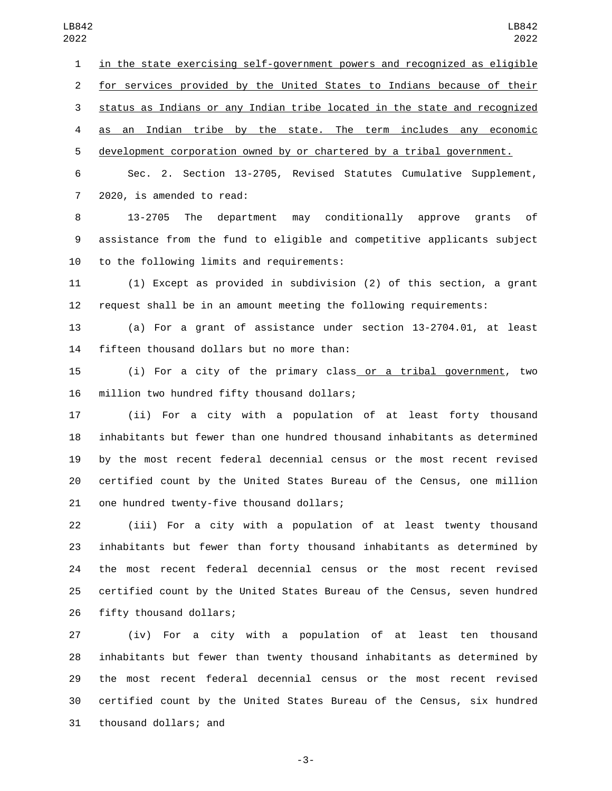in the state exercising self-government powers and recognized as eligible for services provided by the United States to Indians because of their status as Indians or any Indian tribe located in the state and recognized as an Indian tribe by the state. The term includes any economic development corporation owned by or chartered by a tribal government.

 Sec. 2. Section 13-2705, Revised Statutes Cumulative Supplement, 7 2020, is amended to read:

 13-2705 The department may conditionally approve grants of assistance from the fund to eligible and competitive applicants subject 10 to the following limits and requirements:

 (1) Except as provided in subdivision (2) of this section, a grant request shall be in an amount meeting the following requirements:

 (a) For a grant of assistance under section 13-2704.01, at least 14 fifteen thousand dollars but no more than:

 (i) For a city of the primary class or a tribal government, two 16 million two hundred fifty thousand dollars;

 (ii) For a city with a population of at least forty thousand inhabitants but fewer than one hundred thousand inhabitants as determined by the most recent federal decennial census or the most recent revised certified count by the United States Bureau of the Census, one million 21 one hundred twenty-five thousand dollars;

 (iii) For a city with a population of at least twenty thousand inhabitants but fewer than forty thousand inhabitants as determined by the most recent federal decennial census or the most recent revised certified count by the United States Bureau of the Census, seven hundred 26 fifty thousand dollars;

 (iv) For a city with a population of at least ten thousand inhabitants but fewer than twenty thousand inhabitants as determined by the most recent federal decennial census or the most recent revised certified count by the United States Bureau of the Census, six hundred 31 thousand dollars; and

-3-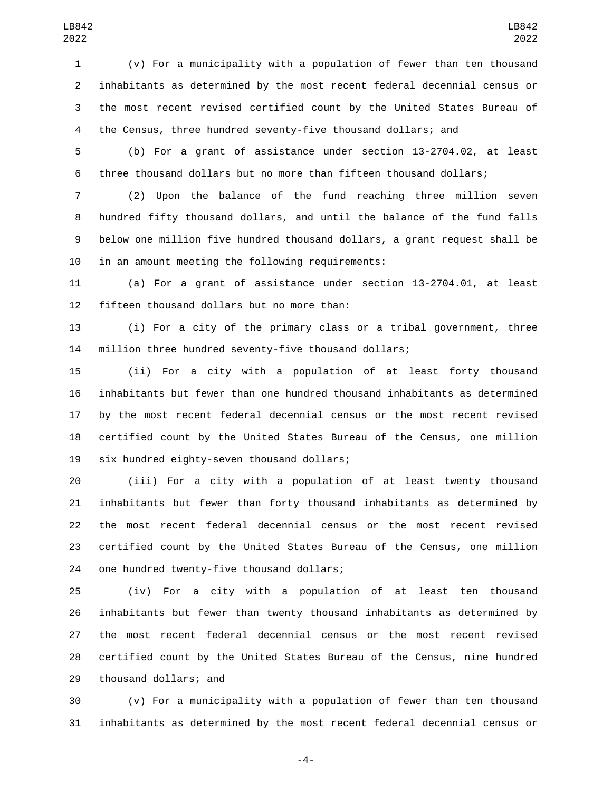(v) For a municipality with a population of fewer than ten thousand inhabitants as determined by the most recent federal decennial census or the most recent revised certified count by the United States Bureau of the Census, three hundred seventy-five thousand dollars; and

 (b) For a grant of assistance under section 13-2704.02, at least three thousand dollars but no more than fifteen thousand dollars;

 (2) Upon the balance of the fund reaching three million seven hundred fifty thousand dollars, and until the balance of the fund falls below one million five hundred thousand dollars, a grant request shall be 10 in an amount meeting the following requirements:

 (a) For a grant of assistance under section 13-2704.01, at least 12 fifteen thousand dollars but no more than:

 (i) For a city of the primary class or a tribal government, three million three hundred seventy-five thousand dollars;

 (ii) For a city with a population of at least forty thousand inhabitants but fewer than one hundred thousand inhabitants as determined by the most recent federal decennial census or the most recent revised certified count by the United States Bureau of the Census, one million 19 six hundred eighty-seven thousand dollars;

 (iii) For a city with a population of at least twenty thousand inhabitants but fewer than forty thousand inhabitants as determined by the most recent federal decennial census or the most recent revised certified count by the United States Bureau of the Census, one million 24 one hundred twenty-five thousand dollars;

 (iv) For a city with a population of at least ten thousand inhabitants but fewer than twenty thousand inhabitants as determined by the most recent federal decennial census or the most recent revised certified count by the United States Bureau of the Census, nine hundred 29 thousand dollars; and

 (v) For a municipality with a population of fewer than ten thousand inhabitants as determined by the most recent federal decennial census or

-4-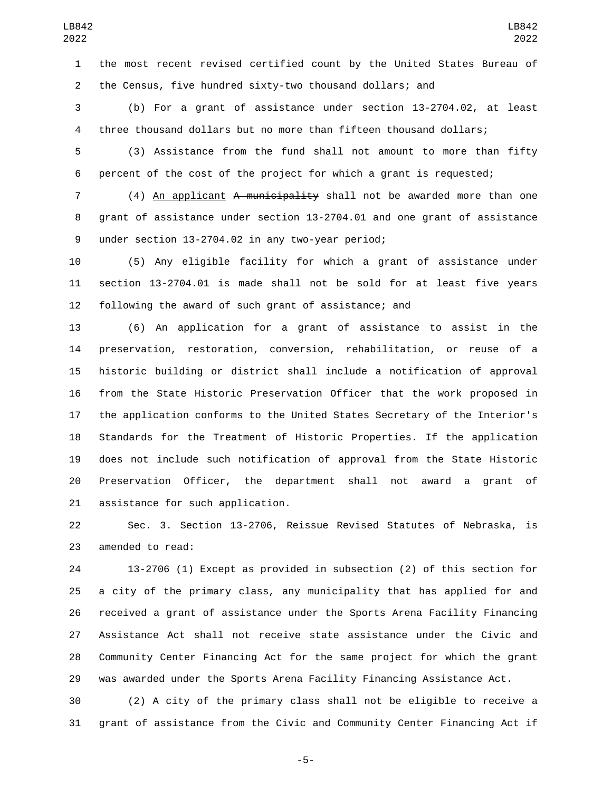the most recent revised certified count by the United States Bureau of the Census, five hundred sixty-two thousand dollars; and

 (b) For a grant of assistance under section 13-2704.02, at least three thousand dollars but no more than fifteen thousand dollars;

 (3) Assistance from the fund shall not amount to more than fifty percent of the cost of the project for which a grant is requested;

7 (4) An applicant A municipality shall not be awarded more than one grant of assistance under section 13-2704.01 and one grant of assistance under section 13-2704.02 in any two-year period;9

 (5) Any eligible facility for which a grant of assistance under section 13-2704.01 is made shall not be sold for at least five years following the award of such grant of assistance; and

 (6) An application for a grant of assistance to assist in the preservation, restoration, conversion, rehabilitation, or reuse of a historic building or district shall include a notification of approval from the State Historic Preservation Officer that the work proposed in the application conforms to the United States Secretary of the Interior's Standards for the Treatment of Historic Properties. If the application does not include such notification of approval from the State Historic Preservation Officer, the department shall not award a grant of 21 assistance for such application.

 Sec. 3. Section 13-2706, Reissue Revised Statutes of Nebraska, is 23 amended to read:

 13-2706 (1) Except as provided in subsection (2) of this section for a city of the primary class, any municipality that has applied for and received a grant of assistance under the Sports Arena Facility Financing Assistance Act shall not receive state assistance under the Civic and Community Center Financing Act for the same project for which the grant was awarded under the Sports Arena Facility Financing Assistance Act.

 (2) A city of the primary class shall not be eligible to receive a grant of assistance from the Civic and Community Center Financing Act if

-5-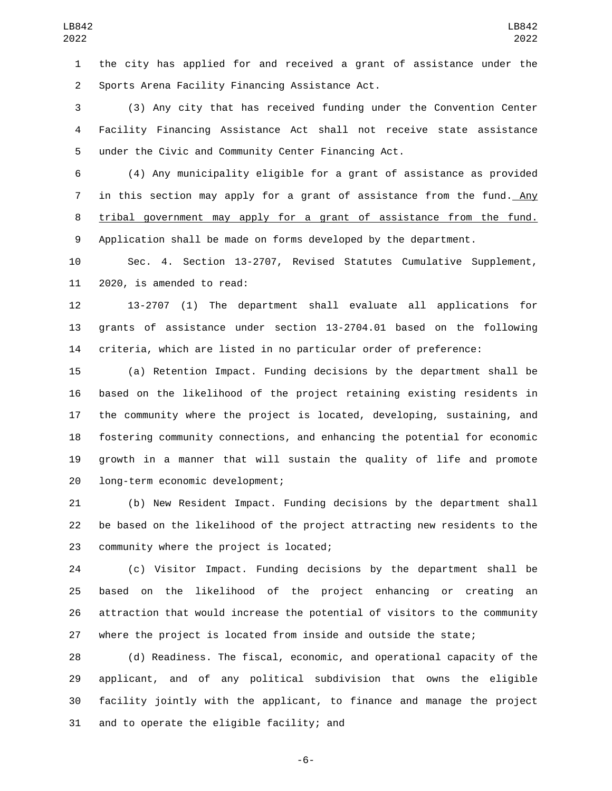the city has applied for and received a grant of assistance under the 2 Sports Arena Facility Financing Assistance Act.

 (3) Any city that has received funding under the Convention Center Facility Financing Assistance Act shall not receive state assistance under the Civic and Community Center Financing Act.

 (4) Any municipality eligible for a grant of assistance as provided 7 in this section may apply for a grant of assistance from the fund. Any tribal government may apply for a grant of assistance from the fund. Application shall be made on forms developed by the department.

 Sec. 4. Section 13-2707, Revised Statutes Cumulative Supplement, 11 2020, is amended to read:

 13-2707 (1) The department shall evaluate all applications for grants of assistance under section 13-2704.01 based on the following criteria, which are listed in no particular order of preference:

 (a) Retention Impact. Funding decisions by the department shall be based on the likelihood of the project retaining existing residents in the community where the project is located, developing, sustaining, and fostering community connections, and enhancing the potential for economic growth in a manner that will sustain the quality of life and promote 20 long-term economic development;

 (b) New Resident Impact. Funding decisions by the department shall be based on the likelihood of the project attracting new residents to the 23 community where the project is located;

 (c) Visitor Impact. Funding decisions by the department shall be based on the likelihood of the project enhancing or creating an attraction that would increase the potential of visitors to the community where the project is located from inside and outside the state;

 (d) Readiness. The fiscal, economic, and operational capacity of the applicant, and of any political subdivision that owns the eligible facility jointly with the applicant, to finance and manage the project 31 and to operate the eligible facility; and

-6-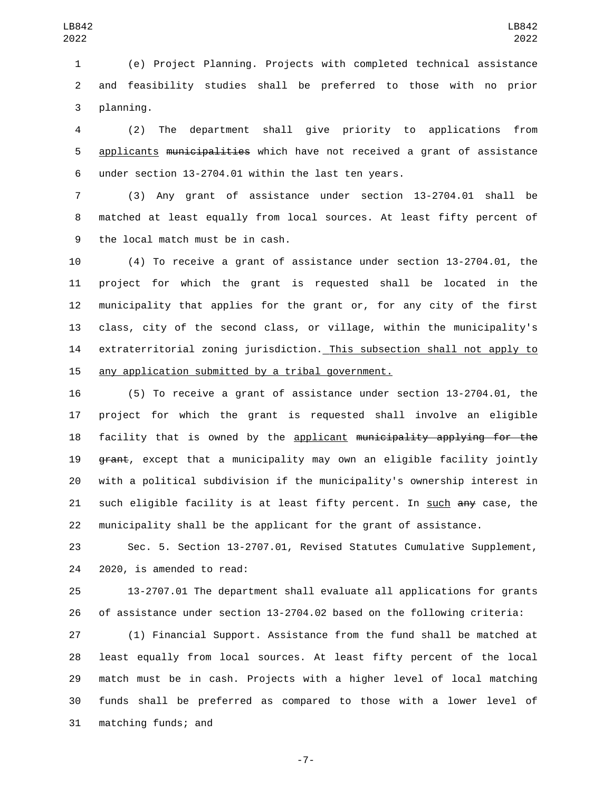(e) Project Planning. Projects with completed technical assistance and feasibility studies shall be preferred to those with no prior 3 planning.

 (2) The department shall give priority to applications from 5 applicants municipalities which have not received a grant of assistance under section 13-2704.01 within the last ten years.

 (3) Any grant of assistance under section 13-2704.01 shall be matched at least equally from local sources. At least fifty percent of 9 the local match must be in cash.

 (4) To receive a grant of assistance under section 13-2704.01, the project for which the grant is requested shall be located in the municipality that applies for the grant or, for any city of the first class, city of the second class, or village, within the municipality's extraterritorial zoning jurisdiction. This subsection shall not apply to 15 any application submitted by a tribal government.

 (5) To receive a grant of assistance under section 13-2704.01, the project for which the grant is requested shall involve an eligible facility that is owned by the applicant municipality applying for the 19 grant, except that a municipality may own an eligible facility jointly with a political subdivision if the municipality's ownership interest in 21 such eligible facility is at least fifty percent. In such any case, the municipality shall be the applicant for the grant of assistance.

 Sec. 5. Section 13-2707.01, Revised Statutes Cumulative Supplement, 24 2020, is amended to read:

 13-2707.01 The department shall evaluate all applications for grants of assistance under section 13-2704.02 based on the following criteria:

 (1) Financial Support. Assistance from the fund shall be matched at least equally from local sources. At least fifty percent of the local match must be in cash. Projects with a higher level of local matching funds shall be preferred as compared to those with a lower level of 31 matching funds; and

-7-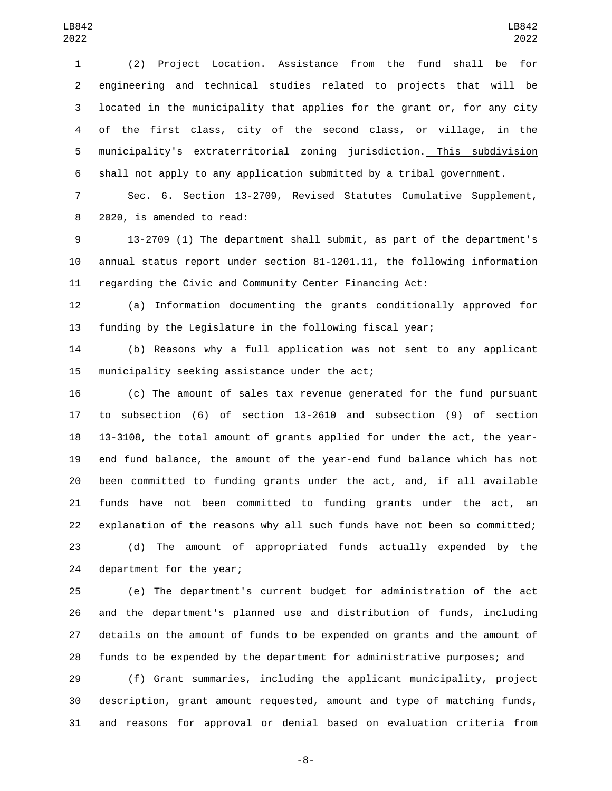(2) Project Location. Assistance from the fund shall be for engineering and technical studies related to projects that will be located in the municipality that applies for the grant or, for any city of the first class, city of the second class, or village, in the municipality's extraterritorial zoning jurisdiction. This subdivision shall not apply to any application submitted by a tribal government.

 Sec. 6. Section 13-2709, Revised Statutes Cumulative Supplement, 8 2020, is amended to read:

 13-2709 (1) The department shall submit, as part of the department's annual status report under section 81-1201.11, the following information regarding the Civic and Community Center Financing Act:

 (a) Information documenting the grants conditionally approved for funding by the Legislature in the following fiscal year;

14 (b) Reasons why a full application was not sent to any <u>applicant</u> 15 municipality seeking assistance under the act;

 (c) The amount of sales tax revenue generated for the fund pursuant to subsection (6) of section 13-2610 and subsection (9) of section 13-3108, the total amount of grants applied for under the act, the year- end fund balance, the amount of the year-end fund balance which has not been committed to funding grants under the act, and, if all available funds have not been committed to funding grants under the act, an explanation of the reasons why all such funds have not been so committed; (d) The amount of appropriated funds actually expended by the 24 department for the year;

 (e) The department's current budget for administration of the act and the department's planned use and distribution of funds, including details on the amount of funds to be expended on grants and the amount of funds to be expended by the department for administrative purposes; and

29 (f) Grant summaries, including the applicant municipality, project description, grant amount requested, amount and type of matching funds, and reasons for approval or denial based on evaluation criteria from

-8-